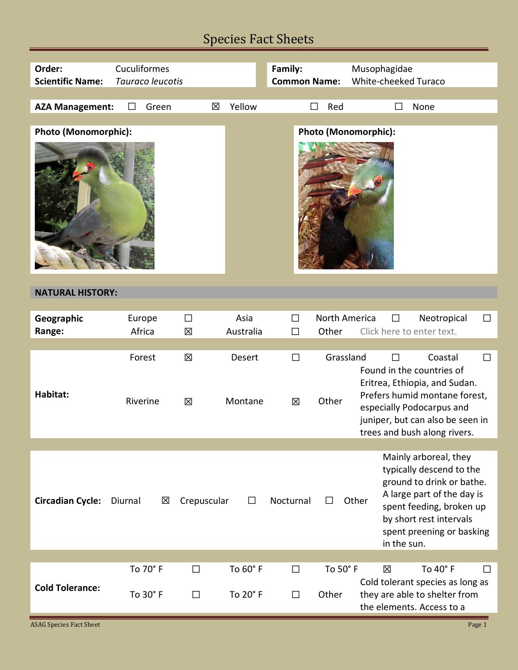## Species Fact Sheets

| Order:<br><b>Scientific Name:</b> | Cuculiformes<br>Tauraco leucotis |                   |                      | Family:<br><b>Common Name:</b> |                        | Musophagidae<br>White-cheeked Turaco                                                                                                                                                                                     |
|-----------------------------------|----------------------------------|-------------------|----------------------|--------------------------------|------------------------|--------------------------------------------------------------------------------------------------------------------------------------------------------------------------------------------------------------------------|
| <b>AZA Management:</b>            | Green<br>$\perp$                 | 区                 | Yellow               |                                | Red<br>ΙI              | None                                                                                                                                                                                                                     |
|                                   |                                  |                   |                      |                                |                        |                                                                                                                                                                                                                          |
| Photo (Monomorphic):              |                                  |                   |                      |                                |                        | Photo (Monomorphic):                                                                                                                                                                                                     |
| <b>NATURAL HISTORY:</b>           |                                  |                   |                      |                                |                        |                                                                                                                                                                                                                          |
| Geographic<br>Range:              | Europe<br>Africa                 | $\Box$<br>区       | Asia<br>Australia    | $\Box$<br>$\Box$               | North America<br>Other | Neotropical<br>$\Box$<br>П<br>Click here to enter text.                                                                                                                                                                  |
| Habitat:                          | Forest<br>Riverine               | 区<br>区            | Desert<br>Montane    | $\Box$<br>区                    | Grassland<br>Other     | Coastal<br>$\Box$<br>Found in the countries of<br>Eritrea, Ethiopia, and Sudan.<br>Prefers humid montane forest,<br>especially Podocarpus and<br>juniper, but can also be seen in<br>trees and bush along rivers.        |
| <b>Circadian Cycle:</b>           | Diurnal<br>区                     | Crepuscular       | ΙI                   | Nocturnal                      |                        | Mainly arboreal, they<br>typically descend to the<br>ground to drink or bathe.<br>A large part of the day is<br>Other<br>spent feeding, broken up<br>by short rest intervals<br>spent preening or basking<br>in the sun. |
| <b>Cold Tolerance:</b>            | To 70° F<br>To 30° F             | □<br>$\mathsf{L}$ | To 60° F<br>To 20° F | □<br>$\mathsf{L}$              | To 50° F<br>Other      | To 40° F<br>区<br>ப<br>Cold tolerant species as long as<br>they are able to shelter from<br>the elements. Access to a                                                                                                     |
| <b>ASAG Species Fact Sheet</b>    |                                  |                   |                      |                                |                        | Page 1                                                                                                                                                                                                                   |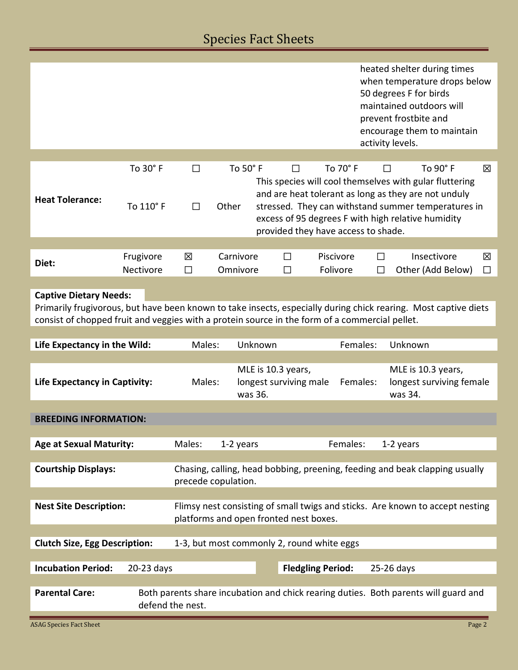## Species Fact Sheets

|                                                                                                                                                                                                                                                    |                     |                  |                                        |                                                                             |                                              |                                            |          | heated shelter during times<br>when temperature drops below<br>50 degrees F for birds<br>maintained outdoors will<br>prevent frostbite and<br>encourage them to maintain<br>activity levels.                                 |        |
|----------------------------------------------------------------------------------------------------------------------------------------------------------------------------------------------------------------------------------------------------|---------------------|------------------|----------------------------------------|-----------------------------------------------------------------------------|----------------------------------------------|--------------------------------------------|----------|------------------------------------------------------------------------------------------------------------------------------------------------------------------------------------------------------------------------------|--------|
|                                                                                                                                                                                                                                                    | To 30° F            | $\Box$           | To 50° F                               |                                                                             | $\Box$                                       | To 70° F                                   |          | To 90° F<br>$\Box$                                                                                                                                                                                                           | 冈      |
| <b>Heat Tolerance:</b>                                                                                                                                                                                                                             | To 110° F           | $\Box$           | Other                                  |                                                                             |                                              | provided they have access to shade.        |          | This species will cool themselves with gular fluttering<br>and are heat tolerant as long as they are not unduly<br>stressed. They can withstand summer temperatures in<br>excess of 95 degrees F with high relative humidity |        |
|                                                                                                                                                                                                                                                    | Frugivore           | 区                | Carnivore                              |                                                                             | П                                            | Piscivore                                  | П        | Insectivore                                                                                                                                                                                                                  | 区      |
| Diet:                                                                                                                                                                                                                                              | Nectivore           | П                | Omnivore                               |                                                                             | П                                            | Folivore                                   | П        | Other (Add Below)                                                                                                                                                                                                            | $\Box$ |
| <b>Captive Dietary Needs:</b><br>Primarily frugivorous, but have been known to take insects, especially during chick rearing. Most captive diets<br>consist of chopped fruit and veggies with a protein source in the form of a commercial pellet. |                     |                  |                                        |                                                                             |                                              |                                            |          |                                                                                                                                                                                                                              |        |
| Life Expectancy in the Wild:                                                                                                                                                                                                                       |                     | Males:           |                                        | Unknown                                                                     |                                              |                                            | Females: | Unknown                                                                                                                                                                                                                      |        |
| <b>Life Expectancy in Captivity:</b>                                                                                                                                                                                                               |                     | Males:           | was 36.                                |                                                                             | MLE is 10.3 years,<br>longest surviving male |                                            | Females: | MLE is 10.3 years,<br>longest surviving female<br>was 34.                                                                                                                                                                    |        |
| <b>BREEDING INFORMATION:</b>                                                                                                                                                                                                                       |                     |                  |                                        |                                                                             |                                              |                                            |          |                                                                                                                                                                                                                              |        |
| <b>Age at Sexual Maturity:</b>                                                                                                                                                                                                                     |                     | Males:           | 1-2 years                              |                                                                             |                                              | Females:                                   |          | 1-2 years                                                                                                                                                                                                                    |        |
| <b>Courtship Displays:</b>                                                                                                                                                                                                                         | precede copulation. |                  |                                        | Chasing, calling, head bobbing, preening, feeding and beak clapping usually |                                              |                                            |          |                                                                                                                                                                                                                              |        |
|                                                                                                                                                                                                                                                    |                     |                  |                                        |                                                                             |                                              |                                            |          |                                                                                                                                                                                                                              |        |
| <b>Nest Site Description:</b>                                                                                                                                                                                                                      |                     |                  | platforms and open fronted nest boxes. |                                                                             |                                              |                                            |          | Flimsy nest consisting of small twigs and sticks. Are known to accept nesting                                                                                                                                                |        |
|                                                                                                                                                                                                                                                    |                     |                  |                                        |                                                                             |                                              |                                            |          |                                                                                                                                                                                                                              |        |
| <b>Clutch Size, Egg Description:</b>                                                                                                                                                                                                               |                     |                  |                                        |                                                                             |                                              | 1-3, but most commonly 2, round white eggs |          |                                                                                                                                                                                                                              |        |
| <b>Incubation Period:</b>                                                                                                                                                                                                                          | 20-23 days          |                  |                                        |                                                                             |                                              | <b>Fledgling Period:</b>                   |          | 25-26 days                                                                                                                                                                                                                   |        |
|                                                                                                                                                                                                                                                    |                     |                  |                                        |                                                                             |                                              |                                            |          |                                                                                                                                                                                                                              |        |
| <b>Parental Care:</b>                                                                                                                                                                                                                              |                     | defend the nest. |                                        |                                                                             |                                              |                                            |          | Both parents share incubation and chick rearing duties. Both parents will guard and                                                                                                                                          |        |